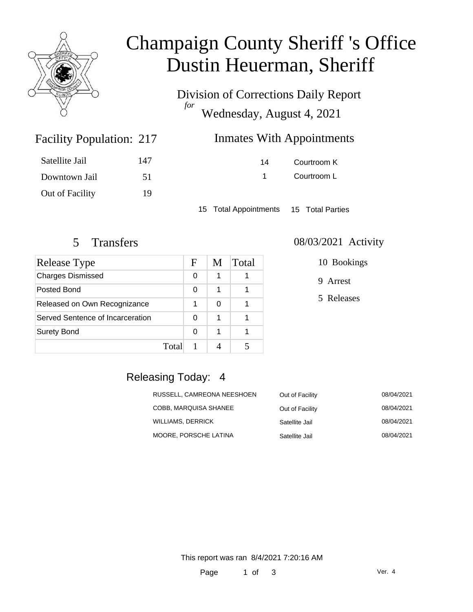

# Champaign County Sheriff 's Office Dustin Heuerman, Sheriff

Division of Corrections Daily Report *for* Wednesday, August 4, 2021

### **Inmates With Appointments**

| Satellite Jail  | 147 |
|-----------------|-----|
| Downtown Jail   | -51 |
| Out of Facility | 19  |

Facility Population: 217

14 Courtroom K 1 Courtroom L

15 Total Appointments 15 Total Parties

| <b>Release Type</b>              | F     | M | Total |
|----------------------------------|-------|---|-------|
| <b>Charges Dismissed</b>         | 0     |   |       |
| Posted Bond                      | 0     | 1 |       |
| Released on Own Recognizance     | 1     | 0 |       |
| Served Sentence of Incarceration | 0     | 1 |       |
| <b>Surety Bond</b>               | 0     | 1 |       |
|                                  | Total |   |       |

#### 5 Transfers 08/03/2021 Activity

10 Bookings

9 Arrest

5 Releases

## Releasing Today: 4

| RUSSELL, CAMREONA NEESHOEN | Out of Facility | 08/04/2021 |
|----------------------------|-----------------|------------|
| COBB, MARQUISA SHANEE      | Out of Facility | 08/04/2021 |
| <b>WILLIAMS, DERRICK</b>   | Satellite Jail  | 08/04/2021 |
| MOORE. PORSCHE LATINA      | Satellite Jail  | 08/04/2021 |

This report was ran 8/4/2021 7:20:16 AM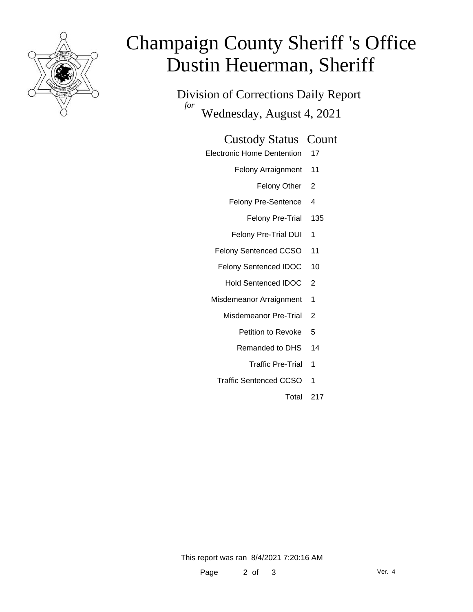

# Champaign County Sheriff 's Office Dustin Heuerman, Sheriff

Division of Corrections Daily Report *for* Wednesday, August 4, 2021

#### Custody Status Count

- Electronic Home Dentention 17
	- Felony Arraignment 11
		- Felony Other 2
	- Felony Pre-Sentence 4
		- Felony Pre-Trial 135
	- Felony Pre-Trial DUI 1
	- Felony Sentenced CCSO 11
	- Felony Sentenced IDOC 10
		- Hold Sentenced IDOC 2
	- Misdemeanor Arraignment 1
		- Misdemeanor Pre-Trial 2
			- Petition to Revoke 5
			- Remanded to DHS 14
				- Traffic Pre-Trial 1
		- Traffic Sentenced CCSO 1
			- Total 217

This report was ran 8/4/2021 7:20:16 AM